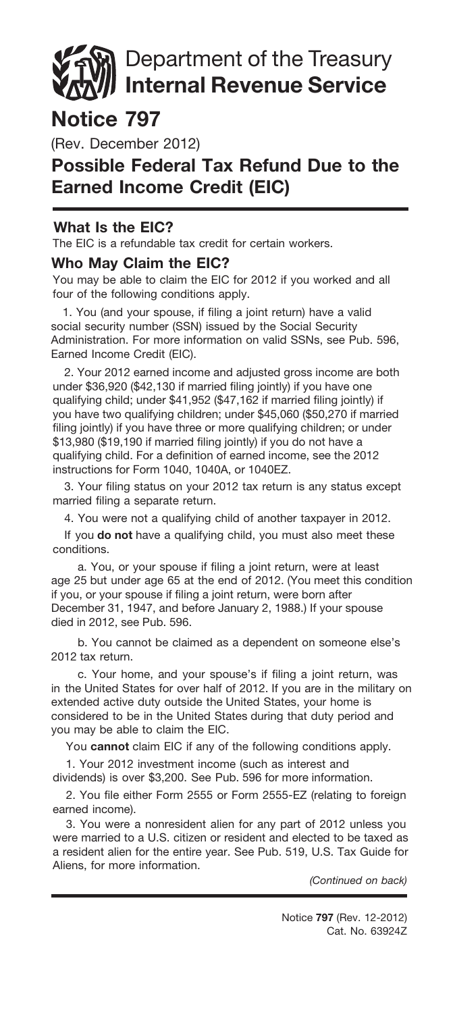# Department of the Treasury **Internal Revenue Service**

## **Notice 797**

(Rev. December 2012)

## **Possible Federal Tax Refund Due to the Earned Income Credit (EIC)**

#### **What Is the EIC?**

The EIC is a refundable tax credit for certain workers.

#### **Who May Claim the EIC?**

You may be able to claim the EIC for 2012 if you worked and all four of the following conditions apply.

1. You (and your spouse, if filing a joint return) have a valid social security number (SSN) issued by the Social Security Administration. For more information on valid SSNs, see Pub. 596, Earned Income Credit (EIC).

2. Your 2012 earned income and adjusted gross income are both under \$36,920 (\$42,130 if married filing jointly) if you have one qualifying child; under \$41,952 (\$47,162 if married filing jointly) if you have two qualifying children; under \$45,060 (\$50,270 if married filing jointly) if you have three or more qualifying children; or under \$13,980 (\$19,190 if married filing jointly) if you do not have a qualifying child. For a definition of earned income, see the 2012 instructions for Form 1040, 1040A, or 1040EZ.

3. Your filing status on your 2012 tax return is any status except married filing a separate return.

4. You were not a qualifying child of another taxpayer in 2012.

If you **do not** have a qualifying child, you must also meet these conditions.

a. You, or your spouse if filing a joint return, were at least age 25 but under age 65 at the end of 2012. (You meet this condition if you, or your spouse if filing a joint return, were born after December 31, 1947, and before January 2, 1988.) If your spouse died in 2012, see Pub. 596.

b. You cannot be claimed as a dependent on someone else's 2012 tax return.

c. Your home, and your spouse's if filing a joint return, was in the United States for over half of 2012. If you are in the military on extended active duty outside the United States, your home is considered to be in the United States during that duty period and you may be able to claim the EIC.

You cannot claim EIC if any of the following conditions apply.

1. Your 2012 investment income (such as interest and dividends) is over \$3,200. See Pub. 596 for more information.

2. You file either Form 2555 or Form 2555-EZ (relating to foreign earned income).

3. You were a nonresident alien for any part of 2012 unless you were married to a U.S. citizen or resident and elected to be taxed as a resident alien for the entire year. See Pub. 519, U.S. Tax Guide for Aliens, for more information.

*(Continued on back)*

Cat. No. 63924Z Notice **797** (Rev. 12-2012)